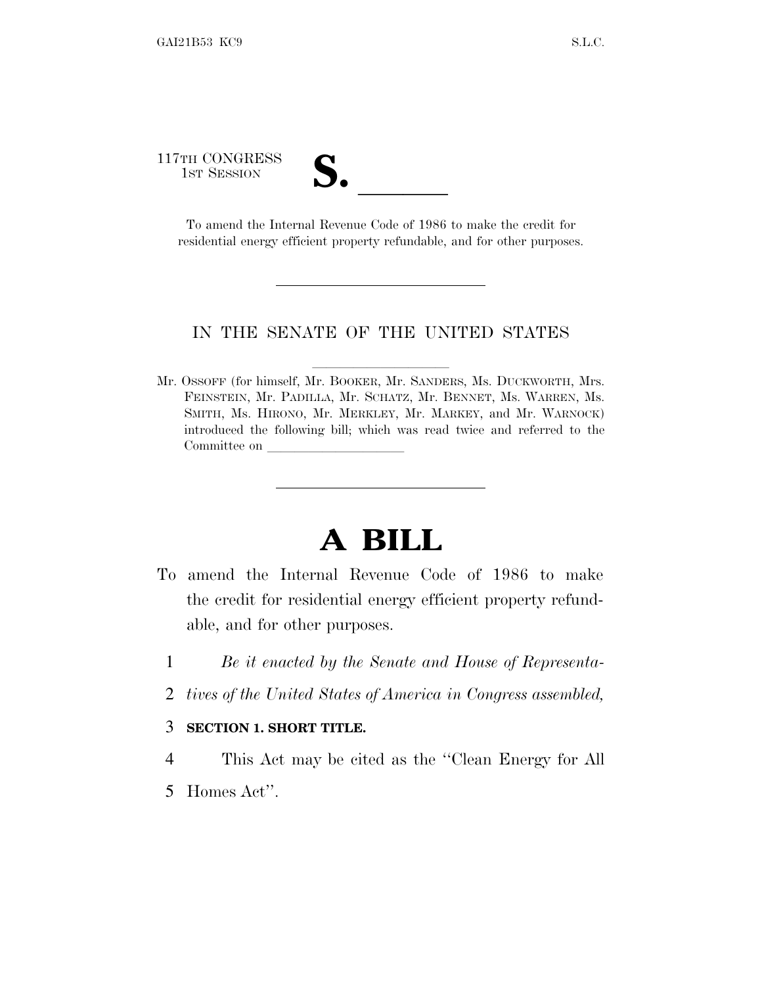117TH CONGRESS

TH CONGRESS<br>1st Session<br>To amend the Internal Revenue Code of 1986 to make the credit for residential energy efficient property refundable, and for other purposes.

## IN THE SENATE OF THE UNITED STATES

Mr. OSSOFF (for himself, Mr. BOOKER, Mr. SANDERS, Ms. DUCKWORTH, Mrs. FEINSTEIN, Mr. PADILLA, Mr. SCHATZ, Mr. BENNET, Ms. WARREN, Ms. SMITH, Ms. HIRONO, Mr. MERKLEY, Mr. MARKEY, and Mr. WARNOCK) introduced the following bill; which was read twice and referred to the Committee on

## **A BILL**

- To amend the Internal Revenue Code of 1986 to make the credit for residential energy efficient property refundable, and for other purposes.
	- 1 *Be it enacted by the Senate and House of Representa-*
	- 2 *tives of the United States of America in Congress assembled,*

## 3 **SECTION 1. SHORT TITLE.**

- 4 This Act may be cited as the ''Clean Energy for All
- 5 Homes Act''.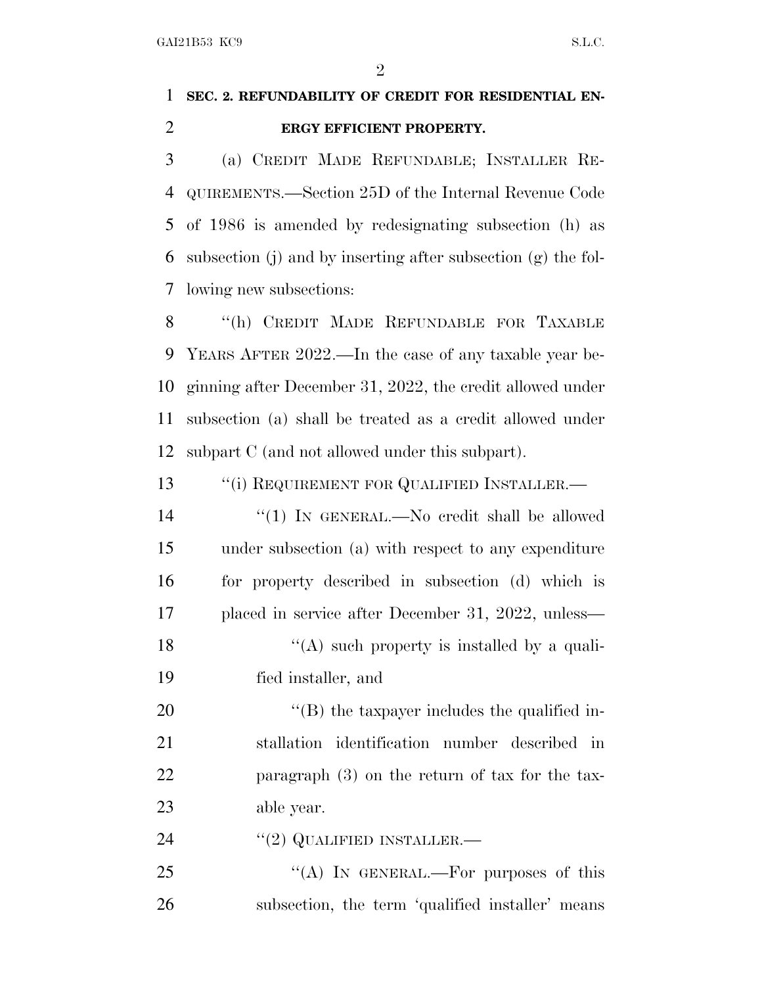$\mathfrak{D}$ 

## **SEC. 2. REFUNDABILITY OF CREDIT FOR RESIDENTIAL EN-ERGY EFFICIENT PROPERTY.**

 (a) CREDIT MADE REFUNDABLE; INSTALLER RE- QUIREMENTS.—Section 25D of the Internal Revenue Code of 1986 is amended by redesignating subsection (h) as subsection (j) and by inserting after subsection (g) the fol-lowing new subsections:

 ''(h) CREDIT MADE REFUNDABLE FOR TAXABLE YEARS AFTER 2022.—In the case of any taxable year be- ginning after December 31, 2022, the credit allowed under subsection (a) shall be treated as a credit allowed under subpart C (and not allowed under this subpart).

13 <sup>"</sup>(i) REQUIREMENT FOR QUALIFIED INSTALLER.—

14 ''(1) IN GENERAL.—No credit shall be allowed under subsection (a) with respect to any expenditure for property described in subsection (d) which is placed in service after December 31, 2022, unless— 18 ''(A) such property is installed by a quali-

fied installer, and

 $\langle$  (B) the taxpayer includes the qualified in- stallation identification number described in paragraph (3) on the return of tax for the tax-able year.

24 "(2) QUALIFIED INSTALLER.—

25 "(A) IN GENERAL.—For purposes of this subsection, the term 'qualified installer' means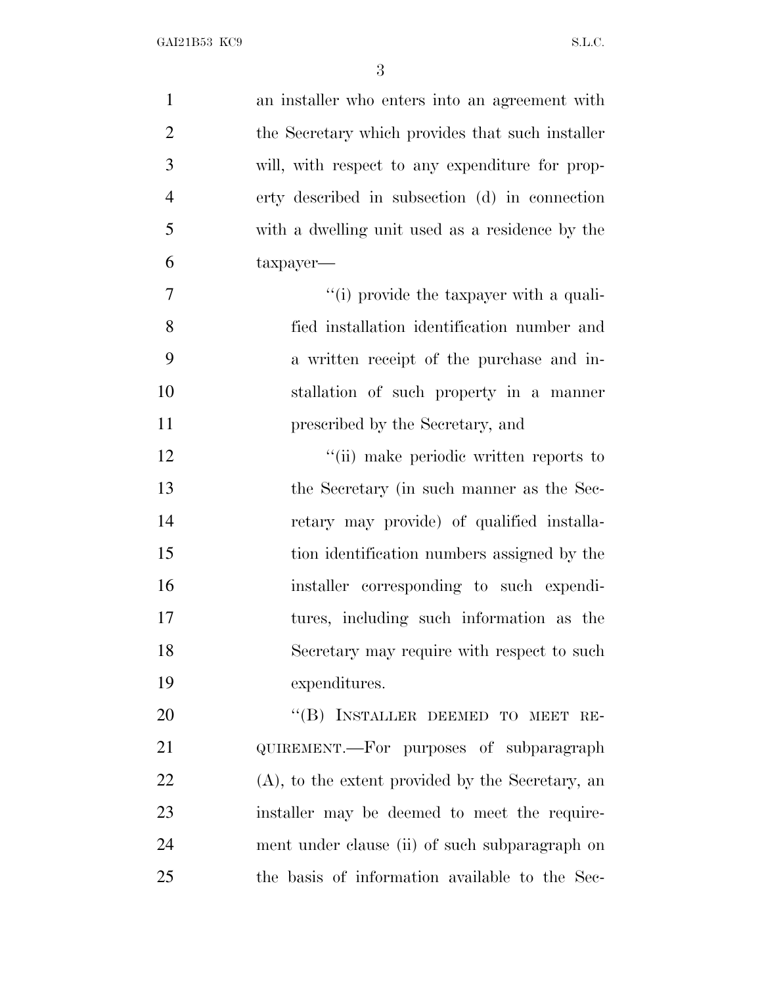| $\mathbf{1}$   | an installer who enters into an agreement with      |
|----------------|-----------------------------------------------------|
| $\overline{2}$ | the Secretary which provides that such installer    |
| 3              | will, with respect to any expenditure for prop-     |
| $\overline{4}$ | erty described in subsection (d) in connection      |
| 5              | with a dwelling unit used as a residence by the     |
| 6              | $t$ axpayer—                                        |
| 7              | "(i) provide the taxpayer with a quali-             |
| 8              | fied installation identification number and         |
| 9              | a written receipt of the purchase and in-           |
| 10             | stallation of such property in a manner             |
| 11             | prescribed by the Secretary, and                    |
| 12             | "(ii) make periodic written reports to              |
| 13             | the Secretary (in such manner as the Sec-           |
| 14             | retary may provide) of qualified installa-          |
| 15             | tion identification numbers assigned by the         |
| 16             | installer corresponding to such expendi-            |
| 17             | tures, including such information as the            |
| 18             | Secretary may require with respect to such          |
| 19             | expenditures.                                       |
| 20             | "(B) INSTALLER DEEMED TO MEET RE-                   |
| 21             | QUIREMENT.—For purposes of subparagraph             |
| 22             | $(A)$ , to the extent provided by the Secretary, an |
| 23             | installer may be deemed to meet the require-        |
| 24             | ment under clause (ii) of such subparagraph on      |
| 25             | the basis of information available to the Sec-      |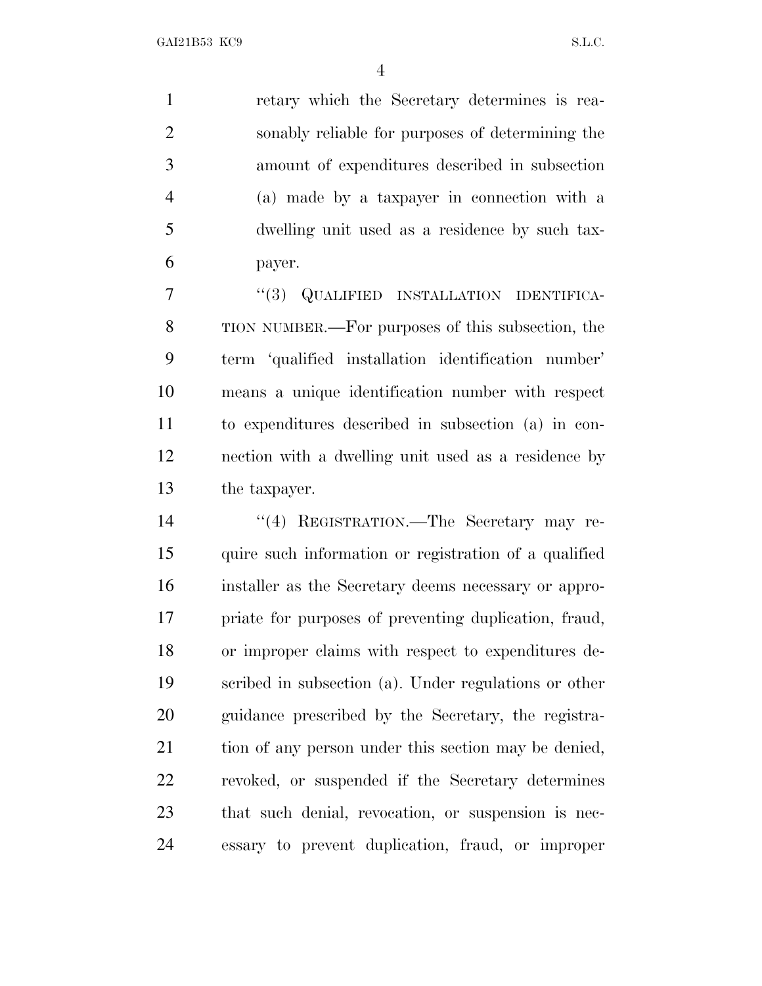retary which the Secretary determines is rea- sonably reliable for purposes of determining the amount of expenditures described in subsection (a) made by a taxpayer in connection with a dwelling unit used as a residence by such tax-payer.

7 "(3) QUALIFIED INSTALLATION IDENTIFICA- TION NUMBER.—For purposes of this subsection, the term 'qualified installation identification number' means a unique identification number with respect to expenditures described in subsection (a) in con- nection with a dwelling unit used as a residence by the taxpayer.

 ''(4) REGISTRATION.—The Secretary may re- quire such information or registration of a qualified installer as the Secretary deems necessary or appro- priate for purposes of preventing duplication, fraud, or improper claims with respect to expenditures de- scribed in subsection (a). Under regulations or other guidance prescribed by the Secretary, the registra-21 tion of any person under this section may be denied, revoked, or suspended if the Secretary determines that such denial, revocation, or suspension is nec-essary to prevent duplication, fraud, or improper